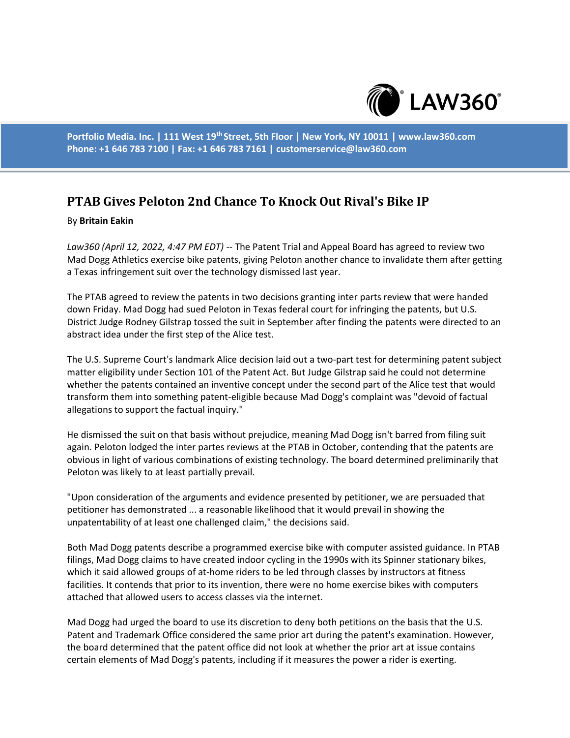

**Portfolio Media. Inc. | 111 West 19th Street, 5th Floor | New York, NY 10011 | www.law360.com Phone: +1 646 783 7100 | Fax: +1 646 783 7161 | customerservice@law360.com**

## **PTAB Gives Peloton 2nd Chance To Knock Out Rival's Bike IP**

## By **Britain Eakin**

*Law360 (April 12, 2022, 4:47 PM EDT)* -- The Patent Trial and Appeal Board has agreed to review two Mad Dogg Athletics exercise bike patents, giving Peloton another chance to invalidate them after getting a Texas infringement suit over the technology dismissed last year.

The PTAB agreed to review the patents in two decisions granting inter parts review that were handed down Friday. Mad Dogg had sued Peloton in Texas federal court for infringing the patents, but U.S. District Judge Rodney Gilstrap tossed the suit in September after finding the patents were directed to an abstract idea under the first step of the Alice test.

The U.S. Supreme Court's landmark Alice decision laid out a two-part test for determining patent subject matter eligibility under Section 101 of the Patent Act. But Judge Gilstrap said he could not determine whether the patents contained an inventive concept under the second part of the Alice test that would transform them into something patent-eligible because Mad Dogg's complaint was "devoid of factual allegations to support the factual inquiry."

He dismissed the suit on that basis without prejudice, meaning Mad Dogg isn't barred from filing suit again. Peloton lodged the inter partes reviews at the PTAB in October, contending that the patents are obvious in light of various combinations of existing technology. The board determined preliminarily that Peloton was likely to at least partially prevail.

"Upon consideration of the arguments and evidence presented by petitioner, we are persuaded that petitioner has demonstrated ... a reasonable likelihood that it would prevail in showing the unpatentability of at least one challenged claim," the decisions said.

Both Mad Dogg patents describe a programmed exercise bike with computer assisted guidance. In PTAB filings, Mad Dogg claims to have created indoor cycling in the 1990s with its Spinner stationary bikes, which it said allowed groups of at-home riders to be led through classes by instructors at fitness facilities. It contends that prior to its invention, there were no home exercise bikes with computers attached that allowed users to access classes via the internet.

Mad Dogg had urged the board to use its discretion to deny both petitions on the basis that the U.S. Patent and Trademark Office considered the same prior art during the patent's examination. However, the board determined that the patent office did not look at whether the prior art at issue contains certain elements of Mad Dogg's patents, including if it measures the power a rider is exerting.